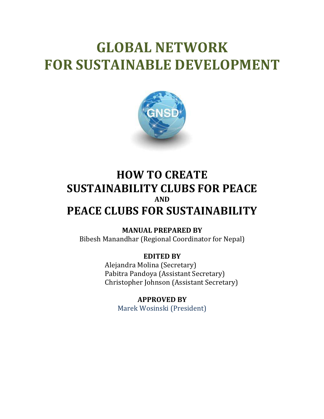# **GLOBAL NETWORK FOR SUSTAINABLE DEVELOPMENT**



# **HOW TO CREATE SUSTAINABILITY CLUBS FOR PEACE AND PEACE CLUBS FOR SUSTAINABILITY**

**MANUAL PREPARED BY** Bibesh Manandhar (Regional Coordinator for Nepal)

> **EDITED BY** Alejandra Molina (Secretary) Pabitra Pandoya (Assistant Secretary) Christopher Johnson (Assistant Secretary)

**APPROVED BY** Marek Wosinski (President)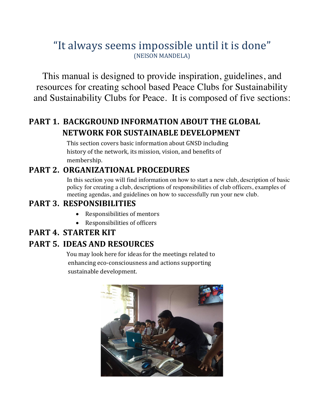## "It always seems impossible until it is done" (NElSON MANDELA)

This manual is designed to provide inspiration, guidelines, and resources for creating school based Peace Clubs for Sustainability and Sustainability Clubs for Peace. It is composed of five sections:

## **PART 1. BACKGROUND INFORMATION ABOUT THE GLOBAL NETWORK FOR SUSTAINABLE DEVELOPMENT**

This section covers basic information about GNSD including history of the network, its mission, vision, and benefits of membership.

### PART 2. ORGANIZATIONAL PROCEDURES

In this section you will find information on how to start a new club, description of basic policy for creating a club, descriptions of responsibilities of club officers, examples of meeting agendas, and guidelines on how to successfully run your new club.

#### **PART 3. RESPONSIBILITIES**

- Responsibilities of mentors
- Responsibilities of officers

#### **PART 4. STARTER KIT**

## **PART 5. IDEAS AND RESOURCES**

**You** may look here for ideas for the meetings related to enhancing eco-consciousness and actions supporting sustainable development.

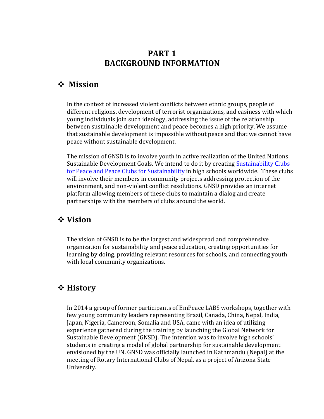#### **PART 1 BACKGROUND INFORMATION**

#### v **Mission**

In the context of increased violent conflicts between ethnic groups, people of different religions, development of terrorist organizations, and easiness with which young individuals join such ideology, addressing the issue of the relationship between sustainable development and peace becomes a high priority. We assume that sustainable development is impossible without peace and that we cannot have peace without sustainable development.

The mission of GNSD is to involve youth in active realization of the United Nations Sustainable Development Goals. We intend to do it by creating Sustainability Clubs for Peace and Peace Clubs for Sustainability in high schools worldwide. These clubs will involve their members in community projects addressing protection of the environment, and non-violent conflict resolutions. GNSD provides an internet platform allowing members of these clubs to maintain a dialog and create partnerships with the members of clubs around the world.

#### $\diamond$  **Vision**

The vision of GNSD is to be the largest and widespread and comprehensive organization for sustainability and peace education, creating opportunities for learning by doing, providing relevant resources for schools, and connecting youth with local community organizations.

#### v **History**

In 2014 a group of former participants of EmPeace LABS workshops, together with few young community leaders representing Brazil, Canada, China, Nepal, India, Japan, Nigeria, Cameroon, Somalia and USA, came with an idea of utilizing experience gathered during the training by launching the Global Network for Sustainable Development (GNSD). The intention was to involve high schools' students in creating a model of global partnership for sustainable development envisioned by the UN. GNSD was officially launched in Kathmandu (Nepal) at the meeting of Rotary International Clubs of Nepal, as a project of Arizona State University.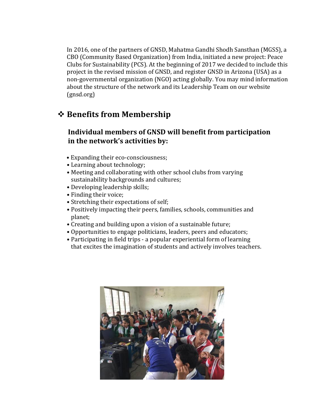In 2016, one of the partners of GNSD, Mahatma Gandhi Shodh Sansthan (MGSS), a CBO (Community Based Organization) from India, initiated a new project: Peace Clubs for Sustainability (PCS). At the beginning of  $2017$  we decided to include this project in the revised mission of GNSD, and register GNSD in Arizona (USA) as a non-governmental organization (NGO) acting globally. You may mind information about the structure of the network and its Leadership Team on our website (gnsd.org)

### **❖ Benefits from Membership**

#### **Individual members of GNSD will benefit from participation** in the network's activities by:

- Expanding their eco-consciousness;
- Learning about technology;
- Meeting and collaborating with other school clubs from varying sustainability backgrounds and cultures;
- Developing leadership skills;
- Finding their voice;
- Stretching their expectations of self;
- Positively impacting their peers, families, schools, communities and planet;
- Creating and building upon a vision of a sustainable future;
- Opportunities to engage politicians, leaders, peers and educators;
- Participating in field trips a popular experiential form of learning that excites the imagination of students and actively involves teachers.

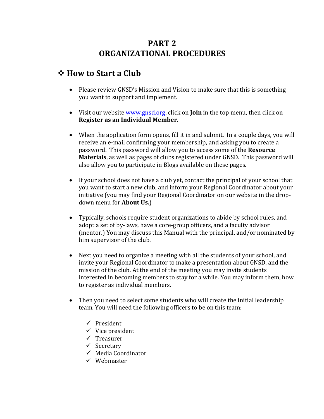### **PART 2 ORGANIZATIONAL PROCEDURES**

#### **❖ How to Start a Club**

- Please review GNSD's Mission and Vision to make sure that this is something you want to support and implement.
- Visit our website www.gnsd.org, click on **Join** in the top menu, then click on **Register as an Individual Member.**
- When the application form opens, fill it in and submit. In a couple days, you will receive an e-mail confirming your membership, and asking you to create a password. This password will allow you to access some of the Resource **Materials**, as well as pages of clubs registered under GNSD. This password will also allow you to participate in Blogs available on these pages.
- If your school does not have a club yet, contact the principal of your school that you want to start a new club, and inform your Regional Coordinator about your initiative (you may find your Regional Coordinator on our website in the dropdown menu for **About Us.**)
- Typically, schools require student organizations to abide by school rules, and adopt a set of by-laws, have a core-group officers, and a faculty advisor (mentor.) You may discuss this Manual with the principal, and/or nominated by him supervisor of the club.
- Next you need to organize a meeting with all the students of your school, and invite your Regional Coordinator to make a presentation about GNSD, and the mission of the club. At the end of the meeting you may invite students interested in becoming members to stay for a while. You may inform them, how to register as individual members.
- Then you need to select some students who will create the initial leadership team. You will need the following officers to be on this team:
	- $\checkmark$  President
	- $\checkmark$  Vice president
	- $\checkmark$  Treasurer
	- $\checkmark$  Secretary
	- $\checkmark$  Media Coordinator
	- $\checkmark$  Wehmaster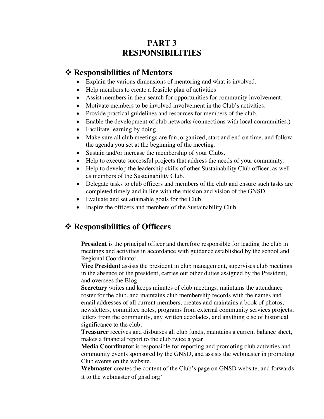#### **PART 3 RESPONSIBILITIES**

#### v **Responsibilities of Mentors**

- Explain the various dimensions of mentoring and what is involved.
- Help members to create a feasible plan of activities.
- Assist members in their search for opportunities for community involvement.
- Motivate members to be involved involvement in the Club's activities.
- Provide practical guidelines and resources for members of the club.
- Enable the development of club networks (connections with local communities.)
- Facilitate learning by doing.
- Make sure all club meetings are fun, organized, start and end on time, and follow the agenda you set at the beginning of the meeting.
- Sustain and/or increase the membership of your Clubs.
- Help to execute successful projects that address the needs of your community.
- Help to develop the leadership skills of other Sustainability Club officer, as well as members of the Sustainability Club.
- Delegate tasks to club officers and members of the club and ensure such tasks are completed timely and in line with the mission and vision of the GNSD.
- Evaluate and set attainable goals for the Club.
- Inspire the officers and members of the Sustainability Club.

## v **Responsibilities of Officers**

**President** is the principal officer and therefore responsible for leading the club in meetings and activities in accordance with guidance established by the school and Regional Coordinator.

**Vice President** assists the president in club management, supervises club meetings in the absence of the president, carries out other duties assigned by the President, and oversees the Blog.

**Secretary** writes and keeps minutes of club meetings, maintains the attendance roster for the club, and maintains club membership records with the names and email addresses of all current members, creates and maintains a book of photos, newsletters, committee notes, programs from external community services projects, letters from the community, any written accolades, and anything else of historical significance to the club.

**Treasurer** receives and disburses all club funds, maintains a current balance sheet, makes a financial report to the club twice a year.

**Media Coordinator** is responsible for reporting and promoting club activities and community events sponsored by the GNSD, and assists the webmaster in promoting Club events on the website.

**Webmaster** creates the content of the Club's page on GNSD website, and forwards it to the webmaster of gnsd.org'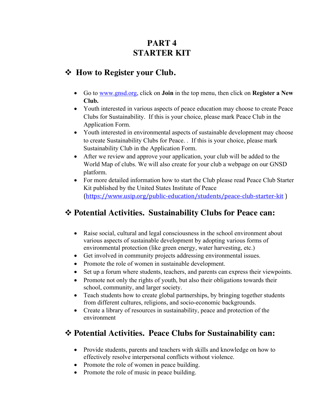## **PART 4 STARTER KIT**

#### v **How to Register your Club.**

- Go to www.gnsd.org, click on **Join** in the top menu, then click on **Register a New Club.**
- Youth interested in various aspects of peace education may choose to create Peace Clubs for Sustainability. If this is your choice, please mark Peace Club in the Application Form.
- Youth interested in environmental aspects of sustainable development may choose to create Sustainability Clubs for Peace. . If this is your choice, please mark Sustainability Club in the Application Form.
- After we review and approve your application, your club will be added to the World Map of clubs. We will also create for your club a webpage on our GNSD platform.
- For more detailed information how to start the Club please read Peace Club Starter Kit published by the United States Institute of Peace (https://www.usip.org/public-education/students/peace-club-starter-kit )

## v **Potential Activities. Sustainability Clubs for Peace can:**

- Raise social, cultural and legal consciousness in the school environment about various aspects of sustainable development by adopting various forms of environmental protection (like green energy, water harvesting, etc.)
- Get involved in community projects addressing environmental issues.
- Promote the role of women in sustainable development.
- Set up a forum where students, teachers, and parents can express their viewpoints.
- Promote not only the rights of youth, but also their obligations towards their school, community, and larger society.
- Teach students how to create global partnerships, by bringing together students from different cultures, religions, and socio-economic backgrounds.
- Create a library of resources in sustainability, peace and protection of the environment

#### v **Potential Activities. Peace Clubs for Sustainability can:**

- Provide students, parents and teachers with skills and knowledge on how to effectively resolve interpersonal conflicts without violence.
- Promote the role of women in peace building.
- Promote the role of music in peace building.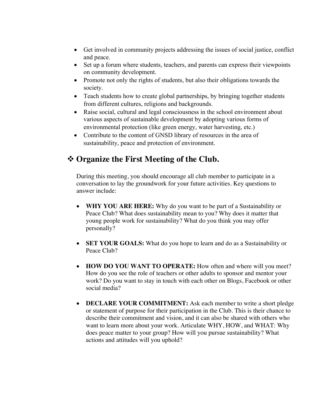- Get involved in community projects addressing the issues of social justice, conflict and peace.
- Set up a forum where students, teachers, and parents can express their viewpoints on community development.
- Promote not only the rights of students, but also their obligations towards the society.
- Teach students how to create global partnerships, by bringing together students from different cultures, religions and backgrounds.
- Raise social, cultural and legal consciousness in the school environment about various aspects of sustainable development by adopting various forms of environmental protection (like green energy, water harvesting, etc.)
- Contribute to the content of GNSD library of resources in the area of sustainability, peace and protection of environment.

### v **Organize the First Meeting of the Club.**

During this meeting, you should encourage all club member to participate in a conversation to lay the groundwork for your future activities. Key questions to answer include:

- **WHY YOU ARE HERE:** Why do you want to be part of a Sustainability or Peace Club? What does sustainability mean to you? Why does it matter that young people work for sustainability? What do you think you may offer personally?
- **SET YOUR GOALS:** What do you hope to learn and do as a Sustainability or Peace Club?
- **HOW DO YOU WANT TO OPERATE:** How often and where will you meet? How do you see the role of teachers or other adults to sponsor and mentor your work? Do you want to stay in touch with each other on Blogs, Facebook or other social media?
- **DECLARE YOUR COMMITMENT:** Ask each member to write a short pledge or statement of purpose for their participation in the Club. This is their chance to describe their commitment and vision, and it can also be shared with others who want to learn more about your work. Articulate WHY, HOW, and WHAT: Why does peace matter to your group? How will you pursue sustainability? What actions and attitudes will you uphold?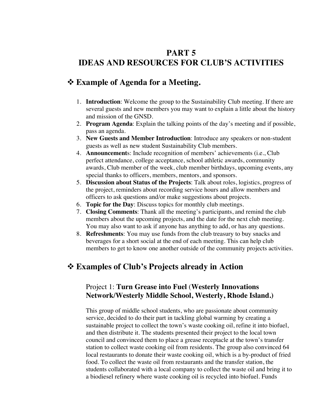## **PART 5 IDEAS AND RESOURCES FOR CLUB'S ACTIVITIES**

#### v **Example of Agenda for a Meeting.**

- 1. **Introduction**: Welcome the group to the Sustainability Club meeting. If there are several guests and new members you may want to explain a little about the history and mission of the GNSD.
- 2. **Program Agenda**: Explain the talking points of the day's meeting and if possible, pass an agenda.
- 3. **New Guests and Member Introduction**: Introduce any speakers or non-student guests as well as new student Sustainability Club members.
- 4. **Announcement**s: Include recognition of members' achievements (i.e., Club perfect attendance, college acceptance, school athletic awards, community awards, Club member of the week, club member birthdays, upcoming events, any special thanks to officers, members, mentors, and sponsors.
- 5. **Discussion about Status of the Projects**: Talk about roles, logistics, progress of the project, reminders about recording service hours and allow members and officers to ask questions and/or make suggestions about projects.
- 6. **Topic for the Day**: Discuss topics for monthly club meetings.
- 7. **Closing Comments**: Thank all the meeting's participants, and remind the club members about the upcoming projects, and the date for the next club meeting. You may also want to ask if anyone has anything to add, or has any questions.
- 8. **Refreshments**: You may use funds from the club treasury to buy snacks and beverages for a short social at the end of each meeting. This can help club members to get to know one another outside of the community projects activities.

## v **Examples of Club's Projects already in Action**

#### Project 1: **Turn Grease into Fuel** (**Westerly Innovations Network/Westerly Middle School, Westerly, Rhode Island.)**

This group of middle school students, who are passionate about community service, decided to do their part in tackling global warming by creating a sustainable project to collect the town's waste cooking oil, refine it into biofuel, and then distribute it. The students presented their project to the local town council and convinced them to place a grease receptacle at the town's transfer station to collect waste cooking oil from residents. The group also convinced 64 local restaurants to donate their waste cooking oil, which is a by-product of fried food. To collect the waste oil from restaurants and the transfer station, the students collaborated with a local company to collect the waste oil and bring it to a biodiesel refinery where waste cooking oil is recycled into biofuel. Funds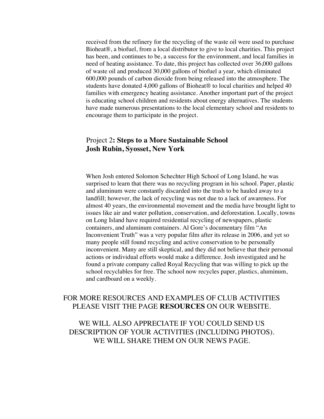received from the refinery for the recycling of the waste oil were used to purchase Bioheat®, a biofuel, from a local distributor to give to local charities. This project has been, and continues to be, a success for the environment, and local families in need of heating assistance. To date, this project has collected over 36,000 gallons of waste oil and produced 30,000 gallons of biofuel a year, which eliminated 600,000 pounds of carbon dioxide from being released into the atmosphere. The students have donated 4,000 gallons of Bioheat® to local charities and helped 40 families with emergency heating assistance. Another important part of the project is educating school children and residents about energy alternatives. The students have made numerous presentations to the local elementary school and residents to encourage them to participate in the project.

#### Project 2**: Steps to a More Sustainable School Josh Rubin, Syosset, New York**

When Josh entered Solomon Schechter High School of Long Island, he was surprised to learn that there was no recycling program in his school. Paper, plastic and aluminum were constantly discarded into the trash to be hauled away to a landfill; however, the lack of recycling was not due to a lack of awareness. For almost 40 years, the environmental movement and the media have brought light to issues like air and water pollution, conservation, and deforestation. Locally, towns on Long Island have required residential recycling of newspapers, plastic containers, and aluminum containers. Al Gore's documentary film "An Inconvenient Truth" was a very popular film after its release in 2006, and yet so many people still found recycling and active conservation to be personally inconvenient. Many are still skeptical, and they did not believe that their personal actions or individual efforts would make a difference. Josh investigated and he found a private company called Royal Recycling that was willing to pick up the school recyclables for free. The school now recycles paper, plastics, aluminum, and cardboard on a weekly.

#### FOR MORE RESOURCES AND EXAMPLES OF CLUB ACTIVITIES PLEASE VISIT THE PAGE **RESOURCES** ON OUR WEBSITE.

WE WILL ALSO APPRECIATE IF YOU COULD SEND US DESCRIPTION OF YOUR ACTIVITIES (INCLUDING PHOTOS). WE WILL SHARE THEM ON OUR NEWS PAGE.